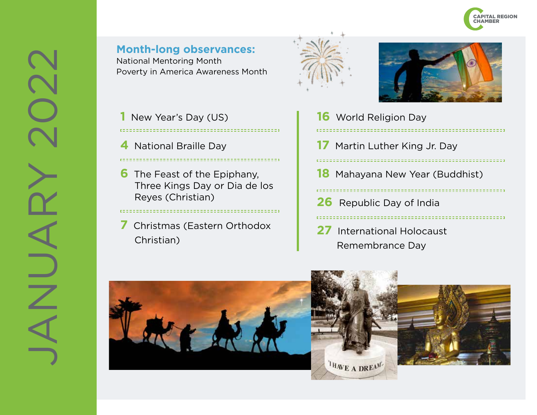

**Month-long observances:** National Mentoring Month Poverty in America Awareness Month

**1** New Year's Day (US) 

- **4** National Braille Day
- **6** The Feast of the Epiphany, Three Kings Day or Dia de los Reyes (Christian)
- **7** Christmas (Eastern Orthodox Christian)



- **16** World Religion Day **17** Martin Luther King Jr. Day 555555551 **18** Mahayana New Year (Buddhist) **26** Republic Day of India -----------------------
- **27** International Holocaust Remembrance Day



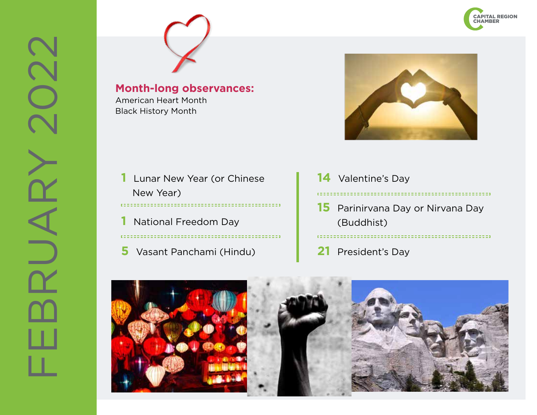

American Heart Month Black History Month



- **1** Lunar New Year (or Chinese New Year)
- **1** National Freedom Day

**5** Vasant Panchami (Hindu)

- **14** Valentine's Day
- **15** Parinirvana Day or Nirvana Day (Buddhist)

- 
- **21** President's Day

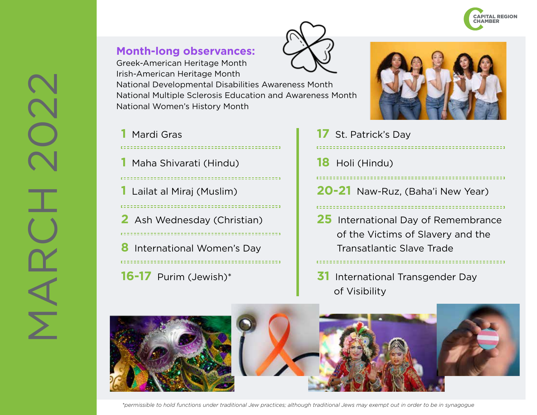

Greek-American Heritage Month Irish-American Heritage Month

National Developmental Disabilities Awareness Month National Multiple Sclerosis Education and Awareness Month National Women's History Month

## **1** Mardi Gras

**1** Maha Shivarati (Hindu)

**1** Lailat al Miraj (Muslim)

**2** Ash Wednesday (Christian)

**8** International Women's Day **16-17** Purim (Jewish)\*



**17** St. Patrick's Day **18** Holi (Hindu) **20-21** Naw-Ruz, (Baha'i New Year) **25** International Day of Remembrance of the Victims of Slavery and the Transatlantic Slave Trade

**31** International Transgender Day of Visibility



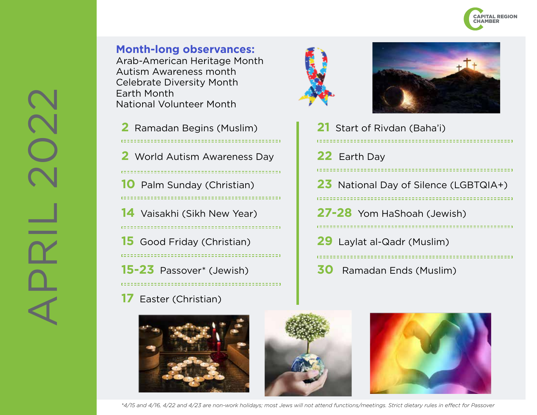

Arab-American Heritage Month Autism Awareness month Celebrate Diversity Month Earth Month National Volunteer Month

 Ramadan Begins (Muslim) World Autism Awareness Day Palm Sunday (Christian) Vaisakhi (Sikh New Year) Good Friday (Christian) 

**15-23** Passover\* (Jewish)

**17** Easter (Christian)







| t of Rivdan (Baha'i) |
|----------------------|
| th Day               |
|                      |

**23** National Day of Silence (LGBTQIA+)

**27-28** Yom HaShoah (Jewish)

 $21$  Start

,,,,,,,,,,,,

**22** Fart

- **29** Laylat al-Qadr (Muslim) .................................
- **30** Ramadan Ends (Muslim)

*\*4/15 and 4/16, 4/22 and 4/23 are non-work holidays; most Jews will not attend functions/meetings. Strict dietary rules in effect for Passover*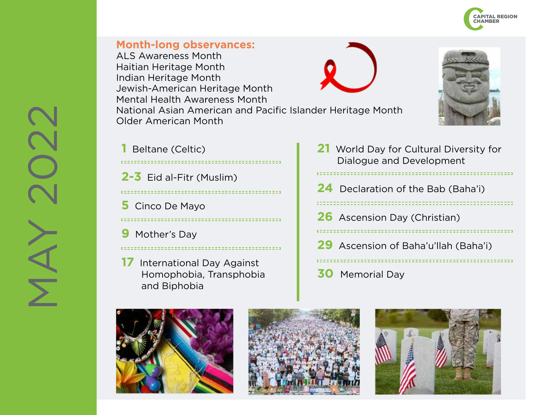

ALS Awareness Month Haitian Heritage Month Indian Heritage Month Jewish-American Heritage Month Mental Health Awareness Month National Asian American and Pacific Islander Heritage Month Older American Month



**1** Beltane (Celtic)

- **2-3** Eid al-Fitr (Muslim)
- . . . . . . . . . . . . . . . .

------------------------------------

=====================================

- **5** Cinco De Mayo
- **9** Mother's Day
- **17** International Day Against Homophobia, Transphobia and Biphobia
- **21** World Day for Cultural Diversity for Dialogue and Development **24** Declaration of the Bab (Baha'i) **26** Ascension Day (Christian) **29** Ascension of Baha'u'llah (Baha'i) **30** Memorial Day







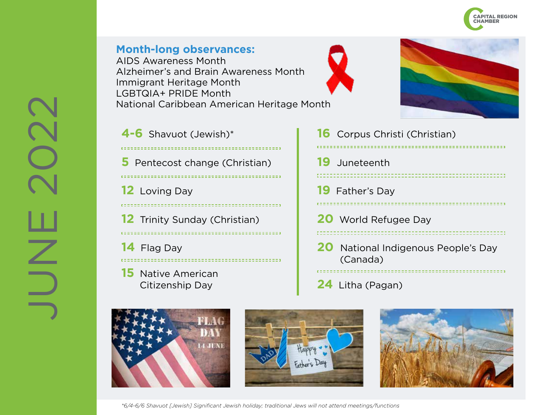

## **Month-long observances:** AIDS Awareness Month Alzheimer's and Brain Awareness Month Immigrant Heritage Month LGBTQIA+ PRIDE Month National Caribbean American Heritage Month





- **4-6** Shavuot (Jewish)\* **5** Pentecost change (Christian) **12** Loving Day **12** Trinity Sunday (Christian) **14** Flag Day **15** Native American
	- Citizenship Day

Corpus Christi (Christian) C, Juneteenth Father's Day World Refugee Day National Indigenous People's Day (Canada) Litha (Pagan)







*\*6/4-6/6 Shavuot [Jewish] Significant Jewish holiday; traditional Jews will not attend meetings/functions*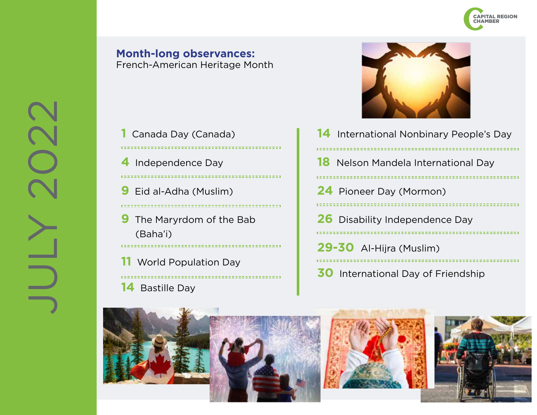

#### **Month-long observances:** French-American Heritage Month

- **1** Canada Day (Canada)  $\epsilon = \epsilon$ ...................... **4** Independence Day **9** Eid al-Adha (Muslim) **9** The Maryrdom of the Bab (Baha'i) =================================== **11** World Population Day
- $\epsilon = \pm \epsilon$ **14** Bastille Day



| 14 International Nonbinary People's Day    |
|--------------------------------------------|
| <b>18</b> Nelson Mandela International Day |
| <b>24</b> Pioneer Day (Mormon)             |
| <b>26</b> Disability Independence Day      |
| 29-30 Al-Hijra (Muslim)                    |
| <b>30</b> International Day of Friendship  |





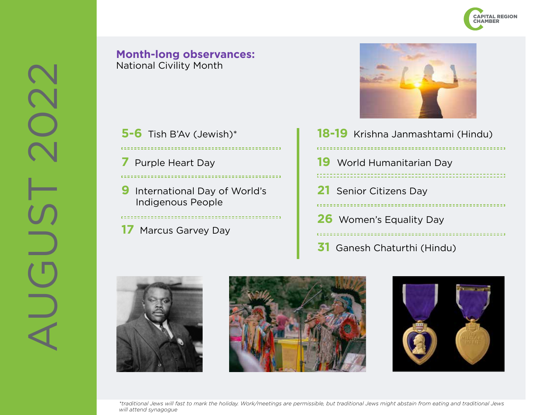

## **Month-long observances:** National Civility Month

**5-6** Tish B'Av (Jewish)\*

**7** Purple Heart Day

 $\mathbf{r} = -\mathbf{r}$ 

**9** International Day of World's Indigenous People

**17** Marcus Garvey Day



| 18-19 Krishna Janmashtami (Hindu)                    |
|------------------------------------------------------|
| <b>19</b> World Humanitarian Day<br>,,,,,,,,,,,,     |
| 21 Senior Citizens Day                               |
| <b>26</b> Women's Equality Day<br>------------------ |
|                                                      |

**31** Ganesh Chaturthi (Hindu)







*\*traditional Jews will fast to mark the holiday. Work/meetings are permissible, but traditional Jews might abstain from eating and traditional Jews will attend synagogue*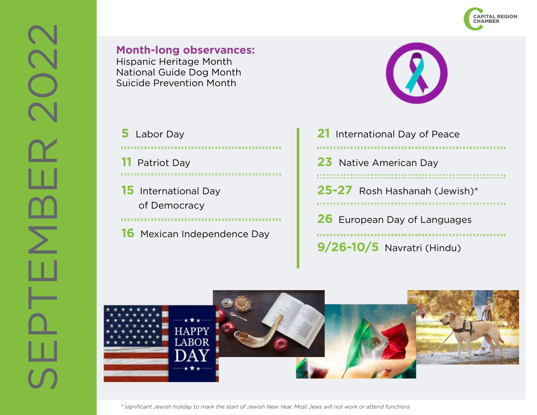

Hispanic Heritage Month National Guide Dog Month Suicide Prevention Month

- **5** Labor Day e mini **11** Patriot Day
- **15** International Day of Democracy
- **16** Mexican Independence Day



| $9/26 - 10/5$ Navratri (Hindu)                           |
|----------------------------------------------------------|
| <b>26</b> European Day of Languages<br>:==============   |
| 25-27 Rosh Hashanah (Jewish)*<br>: = = = = = = = = = = : |
| 23 Native American Day                                   |
| 21 International Day of Peace                            |



*\* significant Jewish holiday to mark the start of Jewish New Year. Most Jews will not work or attend functions*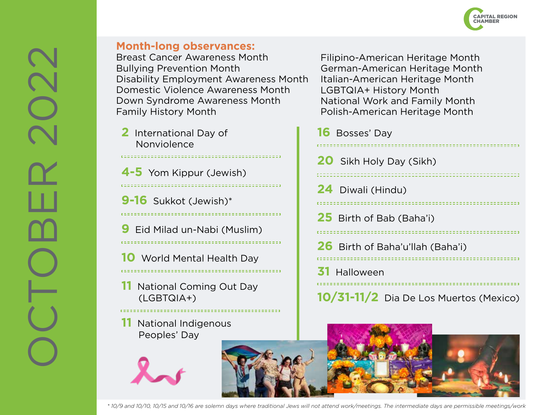

Breast Cancer Awareness Month Bullying Prevention Month Disability Employment Awareness Month Domestic Violence Awareness Month Down Syndrome Awareness Month Family History Month

**2** International Day of Nonviolence

**4-5** Yom Kippur (Jewish) 

**9-16** Sukkot (Jewish)\* . . . . . . . . . . . . . . . . . . . **9** Eid Milad un-Nabi (Muslim) 

**10** World Mental Health Day 

**11** National Coming Out Day (LGBTQIA+)

**11** National Indigenous Peoples' Day

Filipino-American Heritage Month German-American Heritage Month Italian-American Heritage Month LGBTQIA+ History Month National Work and Family Month Polish-American Heritage Month

| <b>16</b> Bosses' Day                  |
|----------------------------------------|
| <b>20</b> Sikh Holy Day (Sikh)         |
| 24 Diwali (Hindu)                      |
| <b>25</b> Birth of Bab (Baha'i)        |
| 26 Birth of Baha'u'llah (Baha'i)       |
| 31 Halloween                           |
| 10/31-11/2 Dia De Los Muertos (Mexico) |



*\* 10/9 and 10/10, 10/15 and 10/16 are solemn days where traditional Jews will not attend work/meetings. The intermediate days are permissible meetings/work*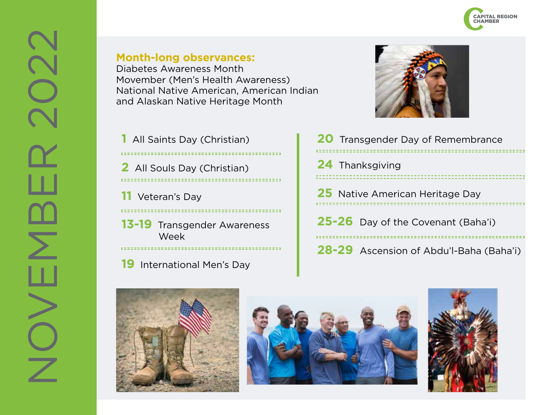Diabetes Awareness Month Movember (Men's Health Awareness) National Native American, American Indian and Alaskan Native Heritage Month

**1** All Saints Day (Christian) **2** All Souls Day (Christian) **11** Veteran's Day

**13-19** Transgender Awareness Week

**19** International Men's Day



| 20 Transgender Day of Remembrance       |
|-----------------------------------------|
| 24 Thanksgiving                         |
| <b>25</b> Native American Heritage Day  |
| 25-26 Day of the Covenant (Baha'i)      |
| 28-29 Ascension of Abdu'l-Baha (Baha'i) |